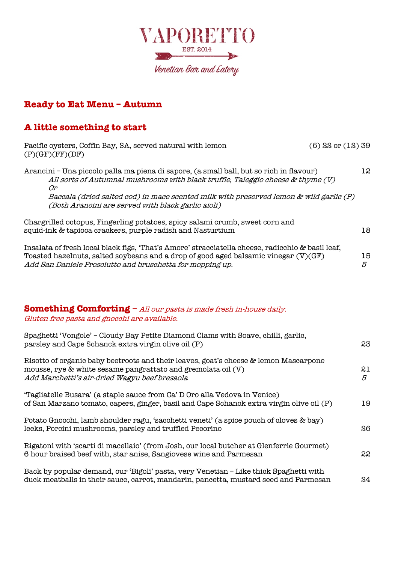

## **Ready to Eat Menu – Autumn**

### **A little something to start**

| Pacific oysters, Coffin Bay, SA, served natural with lemon<br>(P)(GF)(FF)(DF)                                                                                                                                                                        | $(6)$ 22 or $(12)$ 39 |         |
|------------------------------------------------------------------------------------------------------------------------------------------------------------------------------------------------------------------------------------------------------|-----------------------|---------|
| Arancini - Una piccolo palla ma piena di sapore, (a small ball, but so rich in flavour)<br>All sorts of Autumnal mushrooms with black truffle, Taleggio cheese & thyme (V)<br>Оr                                                                     |                       | 12      |
| Baccala (dried salted cod) in mace scented milk with preserved lemon & wild garlic (P)<br>(Both Arancini are served with black garlic aioli)                                                                                                         |                       |         |
| Chargrilled octopus, Fingerling potatoes, spicy salami crumb, sweet corn and<br>squid-ink & tapioca crackers, purple radish and Nasturtium                                                                                                           |                       | 18.     |
| Insalata of fresh local black figs, 'That's Amore' stracciatella cheese, radicchio & basil leaf,<br>Toasted hazelnuts, salted soybeans and a drop of good aged balsamic vinegar (V)(GF)<br>Add San Daniele Prosciutto and bruschetta for mopping up. |                       | 15<br>5 |

#### **Something Comforting** – All our pasta is made fresh in-house daily. Gluten free pasta and gnocchi are available.

| Spaghetti 'Vongole' - Cloudy Bay Petite Diamond Clams with Soave, chilli, garlic,<br>parsley and Cape Schanck extra virgin olive oil (P)                                                              | 23      |
|-------------------------------------------------------------------------------------------------------------------------------------------------------------------------------------------------------|---------|
| Risotto of organic baby beetroots and their leaves, goat's cheese & lemon Mascarpone<br>mousse, rye & white sesame pangrattato and gremolata oil (V)<br>Add Marchetti's air-dried Wagyu beef bresaola | 21<br>5 |
| "Tagliatelle Busara" (a staple sauce from Ca" D Oro alla Vedova in Venice)<br>of San Marzano tomato, capers, ginger, basil and Cape Schanck extra virgin olive oil (P)                                | 19      |
| Potato Gnocchi, lamb shoulder ragu, 'sacchetti veneti' (a spice pouch of cloves & bay)<br>leeks, Porcini mushrooms, parsley and truffled Pecorino                                                     | 26      |
| Rigatoni with 'scarti di macellaio' (from Josh, our local butcher at Glenferrie Gourmet)<br>6 hour braised beef with, star anise, Sangiovese wine and Parmesan                                        | 22      |
| Back by popular demand, our 'Bigoli' pasta, very Venetian - Like thick Spaghetti with<br>duck meatballs in their sauce, carrot, mandarin, pancetta, mustard seed and Parmesan                         | 24      |